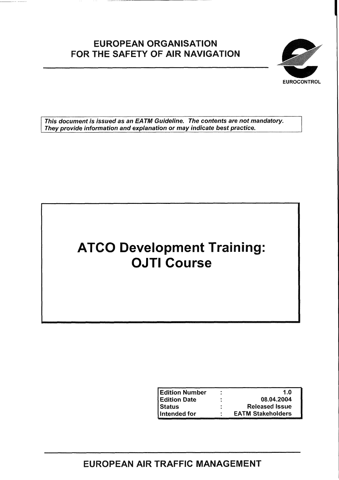# **EUROPEAN ORGANISATION FOR THE SAFETY OF AIR NAVIGATION**



*This document is issued as an EATM Guideline. The contents are not mandatory. They provide information and explanation or may indicate best practice.*\_\_\_\_\_\_\_\_

# **ATCO Development Training: OJTI Course**

| <b>Edition Number</b> | 1.0                                                                                                                                                                                                                                                        |
|-----------------------|------------------------------------------------------------------------------------------------------------------------------------------------------------------------------------------------------------------------------------------------------------|
| <b>Edition Date</b>   | 08.04.2004                                                                                                                                                                                                                                                 |
| <b>Status</b>         | <b>Released Issue</b>                                                                                                                                                                                                                                      |
| Intended for          | <b>EATM Stakeholders</b><br>and the contract of the contract of the contract of the contract of the contract of the contract of the contract of the contract of the contract of the contract of the contract of the contract of the contract of the contra |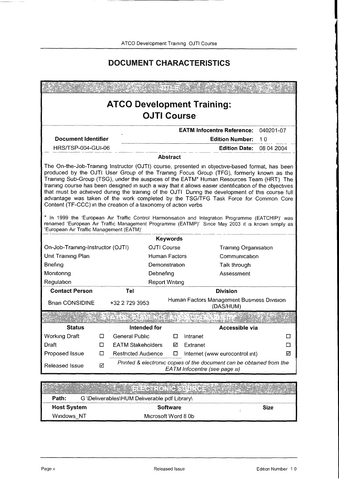ATCO Development Traming OJTI Course

# <span id="page-1-0"></span>**DOCUMENT CHARACTERISTICS**

|                                                                                                                                                                                                                                                                                                                                                                                                                                                                                                                                                                                                                                                                                                                                                                                                                                                                          |        |                            |                       | :5BBBC   |          |                                                                                                        |            |
|--------------------------------------------------------------------------------------------------------------------------------------------------------------------------------------------------------------------------------------------------------------------------------------------------------------------------------------------------------------------------------------------------------------------------------------------------------------------------------------------------------------------------------------------------------------------------------------------------------------------------------------------------------------------------------------------------------------------------------------------------------------------------------------------------------------------------------------------------------------------------|--------|----------------------------|-----------------------|----------|----------|--------------------------------------------------------------------------------------------------------|------------|
| <b>ATCO Development Training:</b><br><b>OJTI Course</b>                                                                                                                                                                                                                                                                                                                                                                                                                                                                                                                                                                                                                                                                                                                                                                                                                  |        |                            |                       |          |          |                                                                                                        |            |
| <b>EATM Infocentre Reference:</b><br>040201-07                                                                                                                                                                                                                                                                                                                                                                                                                                                                                                                                                                                                                                                                                                                                                                                                                           |        |                            |                       |          |          |                                                                                                        |            |
| <b>Document Identifier</b>                                                                                                                                                                                                                                                                                                                                                                                                                                                                                                                                                                                                                                                                                                                                                                                                                                               |        |                            |                       |          |          | <b>Edition Number:</b>                                                                                 | 10         |
| HRS/TSP-004-GUI-06                                                                                                                                                                                                                                                                                                                                                                                                                                                                                                                                                                                                                                                                                                                                                                                                                                                       |        |                            |                       |          |          | <b>Edition Date:</b>                                                                                   | 08 04 2004 |
| <b>Abstract</b>                                                                                                                                                                                                                                                                                                                                                                                                                                                                                                                                                                                                                                                                                                                                                                                                                                                          |        |                            |                       |          |          |                                                                                                        |            |
| The On-the-Job-Training Instructor (OJTI) course, presented in objective-based format, has been<br>produced by the OJTI User Group of the Training Focus Group (TFG), formerly known as the<br>Training Sub-Group (TSG), under the auspices of the EATM* Human Resources Team (HRT) The<br>training course has been designed in such a way that it allows easier identification of the objectives<br>that must be achieved during the training of the OJTI During the development of this course full<br>advantage was taken of the work completed by the TSG/TFG Task Force for Common Core<br>Content (TF-CCC) in the creation of a taxonomy of action verbs<br>* In 1999 the 'European Air Traffic Control Harmonisation and Integration Programme (EATCHIP)' was<br>renamed 'European Air Traffic Management Programme (EATMP)' Since May 2003 it is known simply as |        |                            |                       |          |          |                                                                                                        |            |
| 'European Air Traffic Management (EATM)'                                                                                                                                                                                                                                                                                                                                                                                                                                                                                                                                                                                                                                                                                                                                                                                                                                 |        |                            |                       |          |          |                                                                                                        |            |
| On-Job-Training-Instructor (OJTI)                                                                                                                                                                                                                                                                                                                                                                                                                                                                                                                                                                                                                                                                                                                                                                                                                                        |        |                            | OJTI Course           | Keywords |          |                                                                                                        |            |
| Unit Training Plan                                                                                                                                                                                                                                                                                                                                                                                                                                                                                                                                                                                                                                                                                                                                                                                                                                                       |        |                            | Human Factors         |          |          | <b>Training Organisation</b><br>Communication                                                          |            |
| <b>Briefing</b>                                                                                                                                                                                                                                                                                                                                                                                                                                                                                                                                                                                                                                                                                                                                                                                                                                                          |        |                            | Demonstration         |          |          | Talk through                                                                                           |            |
| Monitoring                                                                                                                                                                                                                                                                                                                                                                                                                                                                                                                                                                                                                                                                                                                                                                                                                                                               |        |                            | Debriefing            |          |          | Assessment                                                                                             |            |
| Regulation                                                                                                                                                                                                                                                                                                                                                                                                                                                                                                                                                                                                                                                                                                                                                                                                                                                               |        |                            | <b>Report Writing</b> |          |          |                                                                                                        |            |
| <b>Contact Person</b>                                                                                                                                                                                                                                                                                                                                                                                                                                                                                                                                                                                                                                                                                                                                                                                                                                                    |        | Tel                        |                       |          |          | <b>Division</b>                                                                                        |            |
| <b>Brian CONSIDINE</b>                                                                                                                                                                                                                                                                                                                                                                                                                                                                                                                                                                                                                                                                                                                                                                                                                                                   |        | +32 2 729 3953             |                       |          |          | Human Factors Management Business Division<br>(DAS/HUM)                                                |            |
|                                                                                                                                                                                                                                                                                                                                                                                                                                                                                                                                                                                                                                                                                                                                                                                                                                                                          |        | AT EXPRESS THE TO A REAL   |                       |          |          |                                                                                                        |            |
| <b>Status</b>                                                                                                                                                                                                                                                                                                                                                                                                                                                                                                                                                                                                                                                                                                                                                                                                                                                            |        | Intended for               |                       |          |          | Accessible via                                                                                         |            |
| <b>Working Draft</b>                                                                                                                                                                                                                                                                                                                                                                                                                                                                                                                                                                                                                                                                                                                                                                                                                                                     | $\Box$ | <b>General Public</b>      |                       | □        | Intranet |                                                                                                        | ⊔          |
| Draft                                                                                                                                                                                                                                                                                                                                                                                                                                                                                                                                                                                                                                                                                                                                                                                                                                                                    | 口      | <b>EATM Stakeholders</b>   |                       | ☑        | Extranet |                                                                                                        | □          |
| Proposed Issue                                                                                                                                                                                                                                                                                                                                                                                                                                                                                                                                                                                                                                                                                                                                                                                                                                                           | $\Box$ | <b>Restricted Audience</b> |                       | □        |          | Internet (www eurocontrol int)                                                                         | ☑          |
| Released Issue                                                                                                                                                                                                                                                                                                                                                                                                                                                                                                                                                                                                                                                                                                                                                                                                                                                           | ☑      |                            |                       |          |          | Printed & electronic copies of the document can be obtained from the<br>EATM Infocentre (see page III) |            |

| Path:              | G \Deliverables\HUM Deliverable pdf Library\ |      |
|--------------------|----------------------------------------------|------|
| <b>Host System</b> | <b>Software</b>                              | Size |
| Windows NT         | Microsoft Word 8 0b                          |      |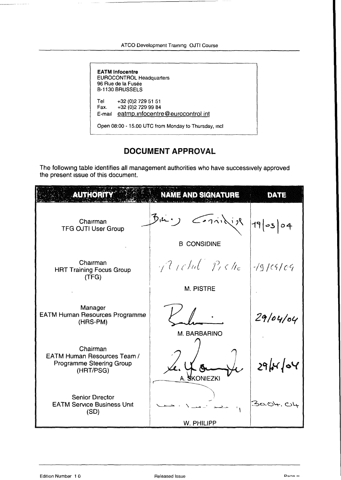ATCO Development Training OJTI Course

| <b>EATM Infocentre</b><br><b>EUROCONTROL Headquarters</b> |                                                      |  |  |  |  |  |
|-----------------------------------------------------------|------------------------------------------------------|--|--|--|--|--|
|                                                           | 96 Rue de la Fusée                                   |  |  |  |  |  |
|                                                           | <b>B-1130 BRUSSELS</b>                               |  |  |  |  |  |
| Tel                                                       | +32 (0) 2 7 29 51 51                                 |  |  |  |  |  |
| Fax.                                                      | +32 (0)2 729 99 84                                   |  |  |  |  |  |
| E-mail                                                    | eatmp.infocentre@eurocontrol int                     |  |  |  |  |  |
|                                                           | Open 08:00 - 15.00 UTC from Monday to Thursday, incl |  |  |  |  |  |

## **DOCUMENT APPROVAL**

<span id="page-2-0"></span>The followmg table identifies ail management authorities who hâve successively approved the present issue of this document.

| AUTHORITY                                                                               | <b>NAME AND SIGNATURE</b> | <b>DATE</b>          |
|-----------------------------------------------------------------------------------------|---------------------------|----------------------|
| Chairman<br><b>TFG OJTI User Group</b>                                                  | C                         | 19 03 04             |
|                                                                                         | <b>B CONSIDINE</b>        |                      |
| Chairman<br><b>HRT Training Focus Group</b><br>(TFG)                                    | Richal Pistic             | $1 - 19 / 109 / 109$ |
|                                                                                         | M. PISTRE                 |                      |
| Manager<br><b>EATM Human Resources Programme</b><br>(HRS-PM)                            | M. BARBARINO              | 29/04/04             |
| Chairman<br>EATM Human Resources Team /<br><b>Programme Steering Group</b><br>(HRT/PSG) | A. SKONIEZKI              | $Y_0 Y_0 $ PS        |
| <b>Senior Director</b><br><b>EATM Service Business Unit</b><br>(SD)                     | W. PHILIPP                | 30.04. CH            |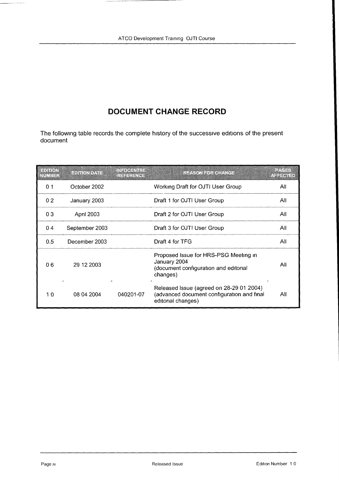## <span id="page-3-0"></span>**DOCUMENT CHANGE RECORD**

The following table records the complete history of the successive editions of the present document

| $\sqrt{2}$<br>NUMBER | Ethnologia     | <b>INFOCATION</b><br><b>REAL AND REAL</b> | <b>REGIORE INTER</b>                                                                                         | 17673<br>Addag: 40 |
|----------------------|----------------|-------------------------------------------|--------------------------------------------------------------------------------------------------------------|--------------------|
| 0 <sub>1</sub>       | October 2002   |                                           | Working Draft for OJTI User Group                                                                            | All                |
| 0 <sub>2</sub>       | January 2003   |                                           | Draft 1 for OJTI User Group                                                                                  | All                |
| 0 <sub>3</sub>       | April 2003     |                                           | Draft 2 for OJTI User Group                                                                                  | All                |
| 0 <sub>4</sub>       | September 2003 |                                           | Draft 3 for OJTI User Group                                                                                  | All                |
| 0.5                  | December 2003  |                                           | Draft 4 for TFG                                                                                              | All                |
| 06                   | 29 12 2003     |                                           | Proposed Issue for HRS-PSG Meeting in<br>January 2004<br>(document configuration and editorial<br>changes)   | All                |
| 10                   | 08 04 2004     | 040201-07                                 | Released Issue (agreed on 28-29 01 2004)<br>(advanced document configuration and final<br>editorial changes) | All                |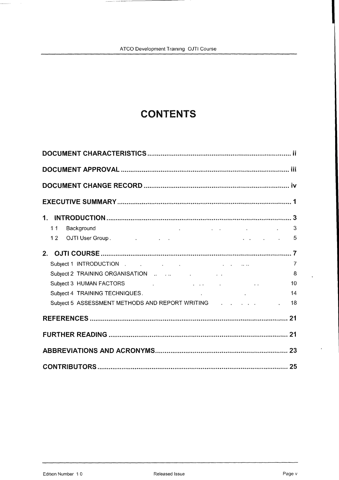# **CONTENTS**

| $\mathcal{L}^{\mathcal{L}}(\mathcal{L}^{\mathcal{L}}(\mathcal{L}^{\mathcal{L}}(\mathcal{L}^{\mathcal{L}}(\mathcal{L}^{\mathcal{L}}(\mathcal{L}^{\mathcal{L}}(\mathcal{L}^{\mathcal{L}}(\mathcal{L}^{\mathcal{L}}(\mathcal{L}^{\mathcal{L}}(\mathcal{L}^{\mathcal{L}}(\mathcal{L}^{\mathcal{L}}(\mathcal{L}^{\mathcal{L}}(\mathcal{L}^{\mathcal{L}}(\mathcal{L}^{\mathcal{L}}(\mathcal{L}^{\mathcal{L}}(\mathcal{L}^{\mathcal{L}}(\mathcal{L}^{\mathcal{L$<br>11<br>Background | 3              |
|-------------------------------------------------------------------------------------------------------------------------------------------------------------------------------------------------------------------------------------------------------------------------------------------------------------------------------------------------------------------------------------------------------------------------------------------------------------------------------|----------------|
| and the state of the state of the                                                                                                                                                                                                                                                                                                                                                                                                                                             | 5              |
|                                                                                                                                                                                                                                                                                                                                                                                                                                                                               |                |
|                                                                                                                                                                                                                                                                                                                                                                                                                                                                               | $\overline{7}$ |
| $\overline{\phantom{a}}$ 8                                                                                                                                                                                                                                                                                                                                                                                                                                                    |                |
| Subject 3 HUMAN FACTORS And the contract of the contract of the contract of the contract of the contract of the contract of the contract of the contract of the contract of the contract of the contract of the contract of th                                                                                                                                                                                                                                                |                |
| Subject 4 TRAINING TECHNIQUES.<br>$\overline{14}$                                                                                                                                                                                                                                                                                                                                                                                                                             |                |
| Subject 5 ASSESSMENT METHODS AND REPORT WRITING ALL AREA ASSESSMENT METHODS AND REPORT WRITING                                                                                                                                                                                                                                                                                                                                                                                |                |
|                                                                                                                                                                                                                                                                                                                                                                                                                                                                               |                |
|                                                                                                                                                                                                                                                                                                                                                                                                                                                                               |                |
|                                                                                                                                                                                                                                                                                                                                                                                                                                                                               |                |
|                                                                                                                                                                                                                                                                                                                                                                                                                                                                               |                |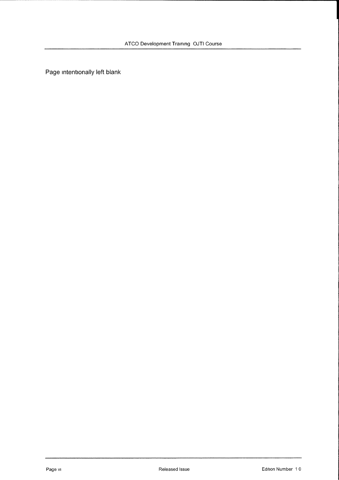Page mtentionally left blank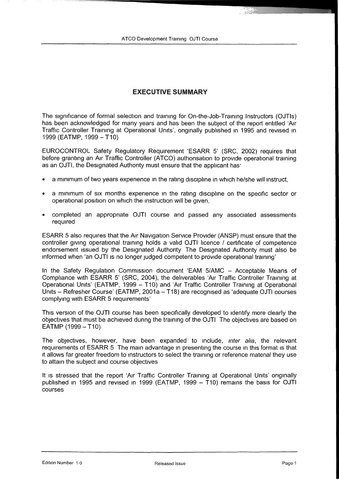#### **EXECUTIVE SUMMARY**

The sigmficance of formai sélection and traming for On-the-Job-Traming Instructors (OJTIs) has been acknowledged for many years and has been the subject of the report entitled 'Air Traffic Controller Traming at Operational Umts', onginally published in 1995 and revised in 1999 (EATMP, 1999-T10)

EUROCONTROL Safety Regulatory Requirement 'ESARR 5' (SRC, 2002) requires that before granting an Air Traffic Controller (ATCO) authorisation to provide operational training as an OJTI, the Designated Authority must ensure that the applicant has

- a minimum of two years experience in the rating discipline in which he/she will instruct,
- a minimum of six months experience in the rating discipline on the specific sector or operational position on which the instruction will be given,
- ® completed an appropnate OJTI course and passed any associated assessments required

ESARR 5 also requires that the Air Navigation Service Provider (ANSP) must ensure that the controller giving operational training holds a valid OJTI licence / certificate of competence endorsement issued by the Designated Authonty The Designated Authonty must also be mformed when 'an OJTI is no longer judged competent to provide operational traming'

In the Safety Regulation Commission document 'EAM 5/AMC - Acceptable Means of Compliance with ESARR 5' (SRC, 2004), the dehverables 'Air Traffic Controller Traming at Operational Units' (EATMP, 1999 - T10) and 'Air Traffic Controller Training at Operational Umts - Refresher Course' (EATMP, 2001a - T18) are recogmsed as 'adéquate OJTI courses complymg with ESARR 5 requirements'

This version of the OJTI course has been specifically developed to identify more clearly the objectives that must be achieved dunng the traming of the OJTI The objectives are based on EATMP (1999-T10)

The objectives, however, hâve been expanded to melude, *inter aha,* the relevant requirements of ESARR 5 The main advantage m presentmg the course m this format is that it allows far greater freedom to instructors to select the traming or reference matenal they use to attam the subject and course objectives

It is stressed that the report 'Air Traffic Controller Traming at Operational Umts' onginally published in 1995 and revised in 1999 (EATMP, 1999 - T10) remains the basis for OJTI courses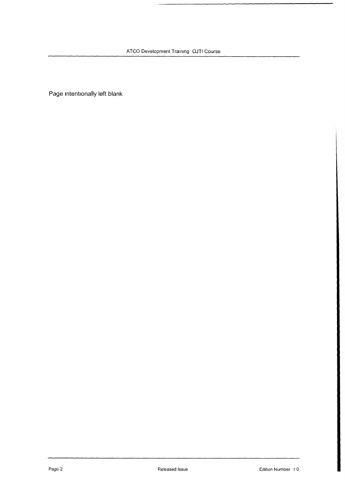ATCO Development Traming OJTI Course

Page mtentionally left blank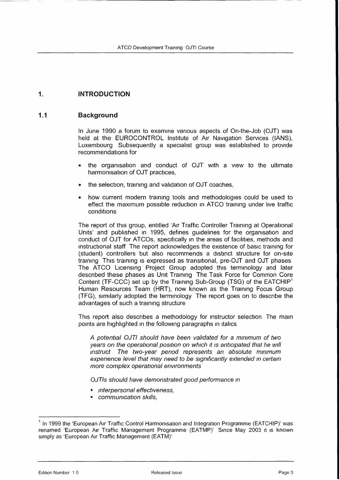#### **1. INTRODUCTION**

#### **1.1 Background**

In June 1990 a forum to examine vanous aspects of On-the-Job (OJT) was held at the EUROCONTROL Institute of Air Navigation Services (IANS), Luxembourg Subsequently a speciahst group was estabhshed to provide recommendations for

- the organisation and conduct of OJT with a view to the ultimate harmonisation of OJT practices,
- the selection, training and validation of OJT coaches,
- how current modern training tools and methodologies could be used to effect the maximum possible reduction in ATCO training under live traffic conditions

The report of this group, entitled 'Air Traffic Controller Traming at Operational Umts' and published in 1995, defmes guidelmes for the organisation and conduct of OJT for ATCOs, specifically m the areas of facilities, methods and mstructional staff The report acknowledges the existence of basic traming for (student) controllers but also recommends a distinct structure for on-site traming This traming is expressed as transitional, pre-OJT and OJT phases The ATCO Licensmg Project Group adopted this termmology and later descnbed these phases as Unit Traming The Task Force for Common Core Content (TF-CCC) set up by the Traming Sub-Group (TSG) of the EATCHIP1 Human Resources Team (HRT), now known as the Traming Focus Group (TFG), similarly adopted the termmology The report goes on to descnbe the advantages of such a traming structure

This report also describes a methodology for instructor selection. The main points are highlighted m the followmg paragraphs m italics

*A potential OJTI should hâve been vahdated for a minimum of two years on the operational position on which it is anticipated that he will mstruct The two-year penod represents an absolute minimum expenence levai that may need to be sigmficantly extended m certain more complex operational environments*

*OJTIs should hâve demonstrated good performance m*

- " *mterpersonal effectiveness,*
- *\* communication skiIls,*

 $<sup>1</sup>$  In 1999 the 'European Air Traffic Control Harmonisation and Integration Programme (EATCHIP)' was</sup> renamed 'European Air Traffic Management Programme (EATMP)' Since May 2003 it is known simply as 'European Air Traffic Management (EATM)'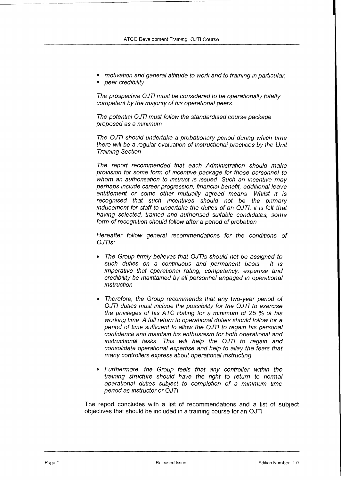- *motivation and general attitude to work and to traming m particular,*
- *\* peer credibihty*

*The prospective OJTI must be considered to be operationally totally competent by the majority of his operational peers.* 

*The potential OJTI must follow the standardised course package proposed* as a *minimum*

*The OJTI should undertake a probationary penod dunng which time there will be* a *regular évaluation of mstructional practices by the Unit Traming Section*

*The report recommended that each Administration should make provision for some form of incentive package for those personnel to whom an authonsation to mstruct is issued Such an incentive may perhaps mclude career progression, fmancial benefit, additional leave entitlement or some other mutually agreed means Whilst it is recogmsed that such incentives should not be the pnmary mducement for staff to undertake the duties of an OJTI, it is felt that havmg selected, tramed and authonsed suitable candidates, some form ofrécognition should follow after a penod of probation*

*Hereafter follow general recommendations for the conditions of OJTIs-*

- *» The Group firmly beheves that OJTIs should not be assigned to such duties on a continuons and permanent basis It is impérative that operational ratmg, competency, expertise and credibihty be mamtamed by ail personnel engaged m operational instruction*
- » *Therefore, the Group recommends that any two-year penod of OJTI duties must mclude the possibihty for the OJTI to exercise the privilèges of his ATC Ratmg for a minimum of 25 % of his workmg time A full return to operational duties should follow for a penod of time sufficient to allow the OJTI to regain his Personal confidence and mamtam his enthusiasm for both operational and mstructional tasks This will help the OJTI to regain and consohdate operational expertise and help to allay the fears that many controllers express about operational mstructmg*
- ® *Furthermore, the Group feels that any controller withm the traming structure should hâve the nght to return to normal operational duties subject to completion of a minimum time penod as instructor or OJTI*

The report concludes with a list of recommendations and a hst of subject objectives that should be mcluded m a traming course for an OJTI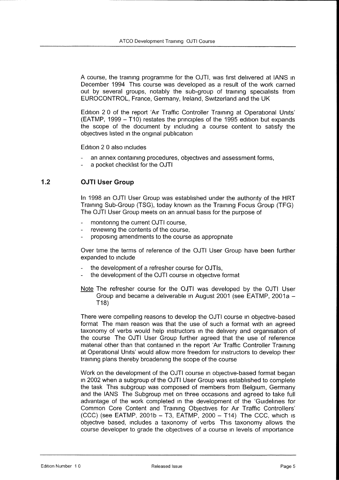A course, the traming programme for the OJTI, was first delivered at IANS in December 1994 This course was developed as a result of the work carned out by several groups, notably the sub-group of training specialists from EUROCONTROL, France, Germany, Ireland, Switzerland and the UK

Edition 2 0 of the report 'Air Traffic Controller Training at Operational Units' (EATMP, 1999 - T10) restates the principles of the 1995 edition but expands the scope of the document by mcludmg a course content to satisfy the objectives listed m the original publication

Edition 2 0 also mcludes

- an annex contammg procedures, objectives and assessment forms,
- a pocket checkhst for the OJTI

#### **1.2 OJTI User Group**

In 1998 an OJTI User Group was established under the authority of the HRT Traming Sub-Group (TSG), today known as the Traming Focus Group (TFG) The OJTI User Group meets on an annual basis for the purpose of

- monitoring the current OJTI course,
- reviewing the contents of the course,
- proposing amendments to the course as appropriate

Over time the terms of reference of the OJTI User Group have been further expanded to mclude

- the development of a refresher course for OJTIs,
- the development of the OJTI course in objective format
- Note The refresher course for the OJTI was developed by the OJTI User Group and became <sup>a</sup> deliverable <sup>m</sup> August <sup>2001</sup> (see EATMP, 2001a - T18)

There were compellmg reasons to develop the OJTI course m objective-based format The main reason was that the use of such a format with an agreed taxonomy of verbs would help mstructors m the dehvery and organisation of the course The OJTI User Group further agreed that the use of référencé material other than that contained in the report 'Air Traffic Controller Training at Operational Umts' would allow more freedom for mstructors to develop their traming plans thereby broadenmg the scope of the course

Work on the development of the OJTI course m objective-based format began m 2002 when a subgroup of the OJTI User Group was estabhshed to complété the task This subgroup was composed of members from Belgium, Germany and the IANS The Subgroup met on three occasions and agreed to take full advantage of the work completed m the development of the 'Guidelmes for Common Core Content and Traming Objectives for Air Traffic Controllers'  $(CCC)$  (see EATMP, 2001b - T3, EATMP, 2000 - T14) The CCC, which is objective based, mcludes a taxonomy of verbs This taxonomy allows the course developer to grade the objectives of a course in levels of importance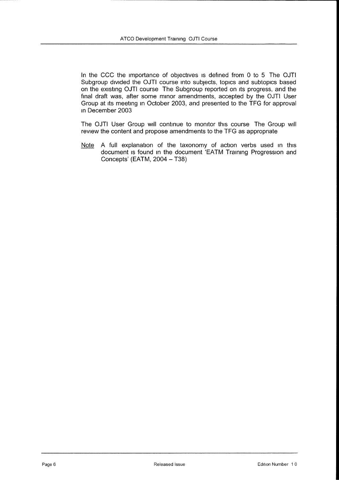In the CGC the importance of objectives is defmed from 0 to 5 The OJTI Subgroup divided the OJTI course mto subjects, topics and subtopics based on the existmg OJTI course The Subgroup reported on its progress, and the final draft was, after some mmor amendments, accepted by the OJTI User Group at its meeting in October 2003, and presented to the TFG for approval m December 2003

The OJTI User Group will continue to momtor this course The Group will review the content and propose amendments to the TFG as appropnate

Note A full explanation of the taxonomy of action verbs used in this document is found in the document 'EATM Traming Progression and Concepts' (EATM, 2004 - T38)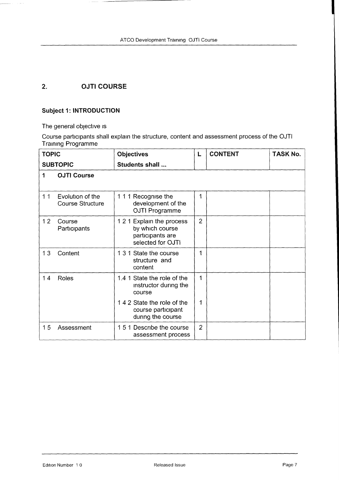#### <span id="page-12-0"></span>**2. OJTI COURSE**

#### **Subject <sup>1</sup> ; INTRODUCTION**

The general objective is

Course participants shall explam the structure, content and assessment process of the OJTI Traming Programme

| <b>TOPIC</b> |                                             | <b>Objectives</b>                                                                   | L              | <b>CONTENT</b> | TASK No. |
|--------------|---------------------------------------------|-------------------------------------------------------------------------------------|----------------|----------------|----------|
|              | <b>SUBTOPIC</b>                             | Students shall                                                                      |                |                |          |
| 1            | <b>OJTI Course</b>                          |                                                                                     |                |                |          |
| 11           | Evolution of the<br><b>Course Structure</b> | 111 Recognise the<br>development of the<br>OJTI Programme                           | 1              |                |          |
| 12           | Course<br>Participants                      | 121 Explain the process<br>by which course<br>participants are<br>selected for OJTI | $\overline{2}$ |                |          |
| 13           | Content                                     | 1 3 1 State the course<br>structure and<br>content                                  | 1              |                |          |
| 14           | Roles                                       | 1.4 1 State the role of the<br>instructor during the<br>course                      | 1              |                |          |
|              |                                             | 142 State the role of the<br>course participant<br>during the course                | 1              |                |          |
| 15           | Assessment                                  | 151 Describe the course<br>assessment process                                       | $\overline{2}$ |                |          |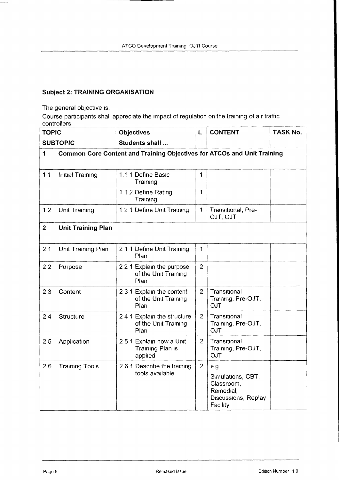#### <span id="page-13-0"></span>**Subject 2: TRAINING ORGANISATION**

The general objective is.

Course participants shall appreciate the impact of regulation on the training of air traffic controllers

| <b>TOPIC</b>   |                           | <b>Objectives</b>                                                              | L              | <b>CONTENT</b>                                                                         | TASK No. |
|----------------|---------------------------|--------------------------------------------------------------------------------|----------------|----------------------------------------------------------------------------------------|----------|
|                | <b>SUBTOPIC</b>           | Students shall                                                                 |                |                                                                                        |          |
| 1              |                           | <b>Common Core Content and Training Objectives for ATCOs and Unit Training</b> |                |                                                                                        |          |
|                |                           |                                                                                |                |                                                                                        |          |
| 11             | Initial Training          | 1.1 1 Define Basic<br>Training                                                 | $\mathbf{1}$   |                                                                                        |          |
|                |                           | 112 Define Rating<br>Training                                                  | 1              |                                                                                        |          |
| 12             | Unit Training             | 121 Define Unit Training                                                       | $\mathbf 1$    | Transitional, Pre-<br>OJT, OJT                                                         |          |
| $\overline{2}$ | <b>Unit Training Plan</b> |                                                                                |                |                                                                                        |          |
|                |                           |                                                                                |                |                                                                                        |          |
| 21             | Unit Training Plan        | 211 Define Unit Training<br>Plan                                               | 1              |                                                                                        |          |
| 22             | Purpose                   | 221 Explain the purpose<br>of the Unit Training<br>Plan                        | $\overline{2}$ |                                                                                        |          |
| 23             | Content                   | 2 3 1 Explain the content<br>of the Unit Training<br>Plan                      | $\overline{2}$ | Transitional<br>Training, Pre-OJT,<br>OJT                                              |          |
| 24             | Structure                 | 241 Explain the structure<br>of the Unit Training<br>Plan                      | $\overline{2}$ | Transitional<br>Training, Pre-OJT,<br>OJT                                              |          |
| 25             | Application               | 251 Explain how a Unit<br>Training Plan is<br>applied                          | $\overline{2}$ | Transitional<br>Training, Pre-OJT,<br>OJT                                              |          |
| 26             | <b>Training Tools</b>     | 261 Describe the training<br>tools available                                   | $\overline{2}$ | e g<br>Simulations, CBT,<br>Classroom,<br>Remedial,<br>Discussions, Replay<br>Facility |          |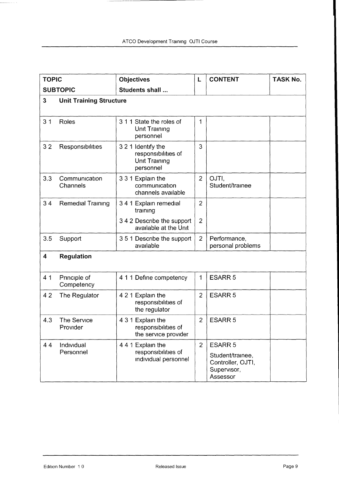| <b>TOPIC</b>   |                                | <b>Objectives</b>                                                     | $\mathsf{L}$   | <b>CONTENT</b>                                                                    | TASK No. |  |
|----------------|--------------------------------|-----------------------------------------------------------------------|----------------|-----------------------------------------------------------------------------------|----------|--|
|                | <b>SUBTOPIC</b>                | Students shall                                                        |                |                                                                                   |          |  |
| $\overline{3}$ | <b>Unit Training Structure</b> |                                                                       |                |                                                                                   |          |  |
| 3 <sub>1</sub> | Roles                          | 3 1 1 State the roles of<br>Unit Training<br>personnel                | 1              |                                                                                   |          |  |
| 32             | Responsibilities               | 321 Identify the<br>responsibilities of<br>Unit Training<br>personnel | 3              |                                                                                   |          |  |
| 3.3            | Communication<br>Channels      | 3 3 1 Explain the<br>communication<br>channels available              | $\overline{2}$ | OJTI,<br>Student/trainee                                                          |          |  |
| 34             | <b>Remedial Training</b>       | 341 Explain remedial<br>training                                      | $\overline{2}$ |                                                                                   |          |  |
|                |                                | 342 Describe the support<br>available at the Unit                     | $\overline{2}$ |                                                                                   |          |  |
| 3.5            | Support                        | 351 Describe the support<br>available                                 | $\overline{2}$ | Performance,<br>personal problems                                                 |          |  |
| 4              | <b>Regulation</b>              |                                                                       |                |                                                                                   |          |  |
| 41             | Principle of<br>Competency     | 4 1 1 Define competency                                               | 1              | <b>ESARR 5</b>                                                                    |          |  |
| 42             | The Regulator                  | 4 2 1 Explain the<br>responsibilities of<br>the regulator             | $\overline{2}$ | <b>ESARR5</b>                                                                     |          |  |
| 4.3            | The Service<br>Provider        | 4 3 1 Explain the<br>responsibilities of<br>the service provider      | $\overline{c}$ | <b>ESARR5</b>                                                                     |          |  |
| 44             | Individual<br>Personnel        | 4 4 1 Explain the<br>responsibilities of<br>individual personnel      | $\overline{2}$ | <b>ESARR5</b><br>Student/trainee,<br>Controller, OJTI,<br>Supervisor,<br>Assessor |          |  |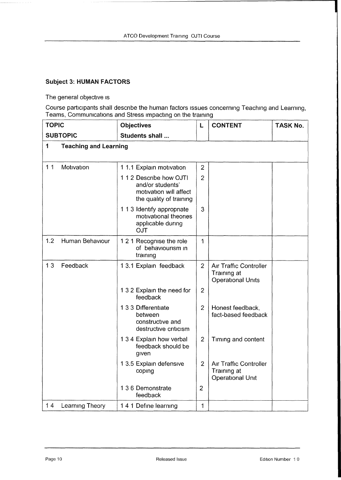#### <span id="page-15-0"></span>**Subject 3; HUMAN FACTORS**

The general objective is

Course participants shall describe the human factors issues concerning Teaching and Learning, Teams, Communications and Stress impacting on the training

| <b>TOPIC</b> |                              | <b>Objectives</b>                                                                              | L              | <b>CONTENT</b>                                                           | TASK No. |
|--------------|------------------------------|------------------------------------------------------------------------------------------------|----------------|--------------------------------------------------------------------------|----------|
|              | <b>SUBTOPIC</b>              | Students shall                                                                                 |                |                                                                          |          |
| 1            | <b>Teaching and Learning</b> |                                                                                                |                |                                                                          |          |
|              |                              |                                                                                                |                |                                                                          |          |
| 11           | Motivation                   | 1 1.1 Explain motivation                                                                       | $\overline{c}$ |                                                                          |          |
|              |                              | 112 Describe how OJTI<br>and/or students'<br>motivation will affect<br>the quality of training | $\overline{2}$ |                                                                          |          |
|              |                              | 1 1 3 Identify appropriate<br>motivational theories<br>applicable during<br><b>OJT</b>         | 3              |                                                                          |          |
| 1.2          | Human Behaviour              | 121 Recognise the role<br>of behaviourism in<br>training                                       | 1              |                                                                          |          |
| 13           | Feedback                     | 1 3.1 Explain feedback                                                                         | $\overline{2}$ | <b>Air Traffic Controller</b><br>Training at<br><b>Operational Units</b> |          |
|              |                              | 132 Explain the need for<br>feedback                                                           | $\overline{2}$ |                                                                          |          |
|              |                              | 1 3 3 Differentiate<br>between<br>constructive and<br>destructive criticism                    | $\overline{2}$ | Honest feedback,<br>fact-based feedback                                  |          |
|              |                              | 1 3 4 Explain how verbal<br>feedback should be<br>given                                        | $\overline{2}$ | Timing and content                                                       |          |
|              |                              | 1 3.5 Explain defensive<br>coping                                                              | $\overline{2}$ | <b>Air Traffic Controller</b><br>Training at<br><b>Operational Unit</b>  |          |
|              |                              | 136 Demonstrate<br>feedback                                                                    | 2              |                                                                          |          |
| 14           | Learning Theory              | 141 Define learning                                                                            | $\mathbf{1}$   |                                                                          |          |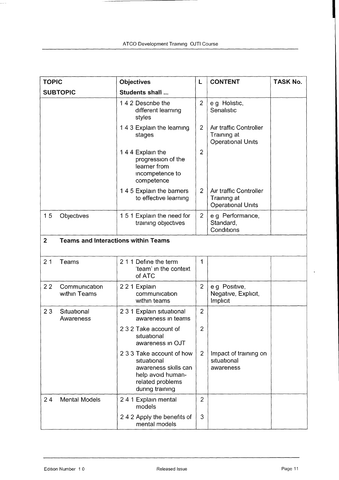| <b>TOPIC</b>   |                                            | <b>Objectives</b>                                                                                                            | L              | <b>CONTENT</b>                                                    | TASK No. |
|----------------|--------------------------------------------|------------------------------------------------------------------------------------------------------------------------------|----------------|-------------------------------------------------------------------|----------|
|                | <b>SUBTOPIC</b>                            | Students shall                                                                                                               |                |                                                                   |          |
|                |                                            | 142 Describe the<br>different learning<br>styles                                                                             | $\overline{2}$ | e g Holistic,<br>Serialistic                                      |          |
|                |                                            | 143 Explain the learning<br>stages                                                                                           | $\overline{2}$ | Air traffic Controller<br>Training at<br><b>Operational Units</b> |          |
|                |                                            | 144 Explain the<br>progression of the<br>learner from<br>incompetence to<br>competence                                       | $\mathbf{2}$   |                                                                   |          |
|                |                                            | 145 Explain the barriers<br>to effective learning                                                                            | $\overline{2}$ | Air traffic Controller<br>Training at<br><b>Operational Units</b> |          |
| 15             | Objectives                                 | 151 Explain the need for<br>training objectives                                                                              | $\overline{2}$ | e g Performance,<br>Standard,<br>Conditions                       |          |
| $\overline{2}$ | <b>Teams and Interactions within Teams</b> |                                                                                                                              |                |                                                                   |          |
| 21             | Teams                                      | 2 1 1 Define the term<br>'team' in the context<br>of ATC                                                                     | $\mathbf 1$    |                                                                   |          |
| 22             | Communication<br>within Teams              | 2 2 1 Explain<br>communication<br>within teams                                                                               | $\overline{2}$ | e g Positive,<br>Negative, Explicit,<br>Implicit                  |          |
| 23             | Situational<br>Awareness                   | 2 3 1 Explain situational<br>awareness in teams                                                                              | $\overline{2}$ |                                                                   |          |
|                |                                            | 2 3 2 Take account of<br>situational<br>awareness in OJT                                                                     | $\overline{2}$ |                                                                   |          |
|                |                                            | 2 3 3 Take account of how<br>situational<br>awareness skills can<br>help avoid human-<br>related problems<br>during training | $\overline{2}$ | Impact of training on<br>situational<br>awareness                 |          |
| 24             | <b>Mental Models</b>                       | 241 Explain mental<br>models                                                                                                 | $\overline{2}$ |                                                                   |          |
|                |                                            | 242 Apply the benefits of<br>mental models                                                                                   | 3              |                                                                   |          |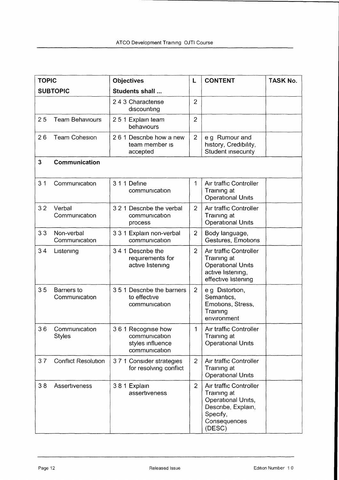| <b>TOPIC</b>   |                                | Objectives                                                              | L              | <b>CONTENT</b>                                                                                                          | <b>TASK No.</b> |
|----------------|--------------------------------|-------------------------------------------------------------------------|----------------|-------------------------------------------------------------------------------------------------------------------------|-----------------|
|                | <b>SUBTOPIC</b>                | Students shall                                                          |                |                                                                                                                         |                 |
|                |                                | 243 Characterise<br>discounting                                         | $\overline{2}$ |                                                                                                                         |                 |
| 25             | <b>Team Behaviours</b>         | 251 Explain team<br>behaviours                                          | $\overline{2}$ |                                                                                                                         |                 |
| 26             | <b>Team Cohesion</b>           | 261 Describe how a new<br>team member is<br>accepted                    | 2              | e g Rumour and<br>history, Credibility,<br>Student insecurity                                                           |                 |
| $\overline{3}$ | Communication                  |                                                                         |                |                                                                                                                         |                 |
| 3 <sub>1</sub> | Communication                  | 3 1 1 Define<br>communication                                           | 1              | Air traffic Controller<br>Training at<br><b>Operational Units</b>                                                       |                 |
| 32             | Verbal<br>Communication        | 321 Describe the verbal<br>communication<br>process                     | $\overline{2}$ | Air traffic Controller<br>Training at<br><b>Operational Units</b>                                                       |                 |
| 33             | Non-verbal<br>Communication    | 3 3 1 Explain non-verbal<br>communication                               | $\overline{2}$ | Body language,<br>Gestures, Emotions                                                                                    |                 |
| 34             | Listening                      | 341 Describe the<br>requirements for<br>active listening                | $\overline{2}$ | Air traffic Controller<br>Training at<br><b>Operational Units</b><br>active listening,<br>effective listening           |                 |
| 35             | Barriers to<br>Communication   | 3 5 1 Describe the barriers<br>to effective<br>communication            | $\overline{2}$ | e g Distortion,<br>Semantics,<br>Emotions, Stress,<br>Training<br>environment                                           |                 |
| 36             | Communication<br><b>Styles</b> | 361 Recognise how<br>communication<br>styles influence<br>communication | $\mathbf{1}$   | Air traffic Controller<br>Training at<br><b>Operational Units</b>                                                       |                 |
| 37             | <b>Conflict Resolution</b>     | 371 Consider strategies<br>for resolving conflict                       | $\overline{2}$ | Air traffic Controller<br>Training at<br><b>Operational Units</b>                                                       |                 |
| 38             | Assertiveness                  | 381 Explain<br>assertiveness                                            | $\overline{2}$ | Air traffic Controller<br>Training at<br>Operational Units,<br>Describe, Explain,<br>Specify,<br>Consequences<br>(DESC) |                 |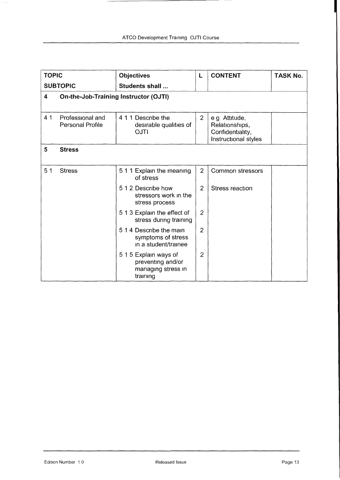| <b>TOPIC</b>   |                                             | <b>Objectives</b>                                                          | L              | <b>CONTENT</b>                                                              | TASK No. |
|----------------|---------------------------------------------|----------------------------------------------------------------------------|----------------|-----------------------------------------------------------------------------|----------|
|                | <b>SUBTOPIC</b>                             | Students shall                                                             |                |                                                                             |          |
| 4              | On-the-Job-Training Instructor (OJTI)       |                                                                            |                |                                                                             |          |
|                |                                             |                                                                            |                |                                                                             |          |
| 4 1            | Professional and<br><b>Personal Profile</b> | 4 1 1 Describe the<br>desirable qualities of<br>OJTI                       | $\overline{2}$ | e g Attitude,<br>Relationships,<br>Confidentiality,<br>Instructional styles |          |
| 5              | <b>Stress</b>                               |                                                                            |                |                                                                             |          |
| 5 <sub>1</sub> | <b>Stress</b>                               | 511 Explain the meaning<br>of stress                                       | $\overline{2}$ | Common stressors                                                            |          |
|                |                                             | 512 Describe how<br>stressors work in the<br>stress process                | 2              | Stress reaction                                                             |          |
|                |                                             | 513 Explain the effect of<br>stress during training                        | $\overline{2}$ |                                                                             |          |
|                |                                             | 5 1 4 Describe the main<br>symptoms of stress<br>in a student/trainee      | $\overline{2}$ |                                                                             |          |
|                |                                             | 515 Explain ways of<br>preventing and/or<br>managing stress in<br>training | $\overline{2}$ |                                                                             |          |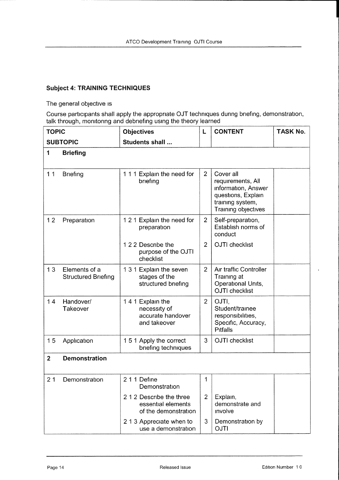#### <span id="page-19-0"></span>**Subject 4: TRAINING TECHNIQUES**

The general objective is

Course participants shall apply the appropnate OJT techniques durmg briefing, démonstration, talk through, momtonng and debnefmg usmg the theory learned

| <b>TOPIC</b>    |                                             | <b>Objectives</b>                                                    | L              | <b>CONTENT</b>                                                                                                                 | TASK No. |
|-----------------|---------------------------------------------|----------------------------------------------------------------------|----------------|--------------------------------------------------------------------------------------------------------------------------------|----------|
| <b>SUBTOPIC</b> |                                             | Students shall                                                       |                |                                                                                                                                |          |
| 1               | <b>Briefing</b>                             |                                                                      |                |                                                                                                                                |          |
| 11              | <b>Briefing</b>                             | 111 Explain the need for<br>briefing                                 | $\overline{2}$ | Cover all<br>requirements, All<br><b>information</b> , Answer<br>questions, Explain<br>training system,<br>Training objectives |          |
| 12              | Preparation                                 | 121 Explain the need for<br>preparation                              | $\overline{2}$ | Self-preparation,<br>Establish norms of<br>conduct                                                                             |          |
|                 |                                             | 122 Describe the<br>purpose of the OJTI<br>checklist                 | $\overline{2}$ | <b>OJTI</b> checklist                                                                                                          |          |
| 13              | Elements of a<br><b>Structured Briefing</b> | 1 3 1 Explain the seven<br>stages of the<br>structured briefing      | $\overline{2}$ | Air traffic Controller<br>Training at<br>Operational Units,<br><b>OJTI</b> checklist                                           |          |
| 14              | Handover/<br>Takeover                       | 141 Explain the<br>necessity of<br>accurate handover<br>and takeover | $\overline{2}$ | OJTI,<br>Student/trainee<br>responsibilities,<br>Specific, Accuracy,<br><b>Pitfalls</b>                                        |          |
| 15              | Application                                 | 151 Apply the correct<br>briefing techniques                         | 3              | <b>OJTI</b> checklist                                                                                                          |          |
| $\mathbf{2}$    | <b>Demonstration</b>                        |                                                                      |                |                                                                                                                                |          |
| 2 <sub>1</sub>  | Demonstration                               | 2 1 1 Define<br>Demonstration                                        | 1              |                                                                                                                                |          |
|                 |                                             | 212 Describe the three<br>essential elements<br>of the demonstration | $\overline{2}$ | Explain,<br>demonstrate and<br>involve                                                                                         |          |
|                 |                                             | 2 1 3 Appreciate when to<br>use a demonstration                      | 3              | Demonstration by<br>OJTI                                                                                                       |          |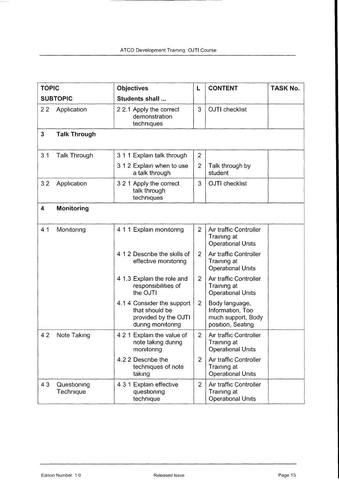| <b>TOPIC</b>    |                          | <b>Objectives</b>                                                                         | L              | <b>CONTENT</b>                                                                | <b>TASK No.</b> |
|-----------------|--------------------------|-------------------------------------------------------------------------------------------|----------------|-------------------------------------------------------------------------------|-----------------|
| <b>SUBTOPIC</b> |                          | Students shall                                                                            |                |                                                                               |                 |
| 22              | Application              | 2 2.1 Apply the correct<br>demonstration<br>techniques                                    | 3              | <b>OJTI</b> checklist                                                         |                 |
| 3               | <b>Talk Through</b>      |                                                                                           |                |                                                                               |                 |
| 3 <sub>1</sub>  | <b>Talk Through</b>      | 3 1 1 Explain talk through                                                                | $\overline{2}$ |                                                                               |                 |
|                 |                          | 3 1 2 Explain when to use<br>a talk through                                               | $\overline{2}$ | Talk through by<br>student                                                    |                 |
| 32              | Application              | 3 2 1 Apply the correct<br>talk through<br>techniques                                     | 3              | <b>OJTI</b> checklist                                                         |                 |
| 4               | Monitoring               |                                                                                           |                |                                                                               |                 |
| 41              | Monitoring               | 4 1 1 Explain monitoring                                                                  | $\overline{2}$ | Air traffic Controller<br>Training at<br><b>Operational Units</b>             |                 |
|                 |                          | 4 1 2 Describe the skills of<br>effective monitoring                                      | $\overline{2}$ | Air traffic Controller<br>Training at<br><b>Operational Units</b>             |                 |
|                 |                          | 4 1.3 Explain the role and<br>responsibilities of<br>the OJTI                             | $\overline{2}$ | Air traffic Controller<br>Training at<br><b>Operational Units</b>             |                 |
|                 |                          | 4.1 4 Consider the support<br>that should be<br>provided by the OJTI<br>during monitoring | $\overline{2}$ | Body language,<br>Information, Too<br>much support, Body<br>position, Seating |                 |
| 42              | Note Taking              | 4.2.1 Explain the value of<br>note taking during<br>monitoring                            | $\overline{2}$ | Air traffic Controller<br>Training at<br><b>Operational Units</b>             |                 |
|                 |                          | 4.2 2 Describe the<br>techniques of note<br>takıng                                        | $\overline{2}$ | Air traffic Controller<br>Training at<br><b>Operational Units</b>             |                 |
| 43              | Questioning<br>Technique | 4 3 1 Explain effective<br>questioning<br>technique                                       | $\overline{2}$ | Air traffic Controller<br>Training at<br><b>Operational Units</b>             |                 |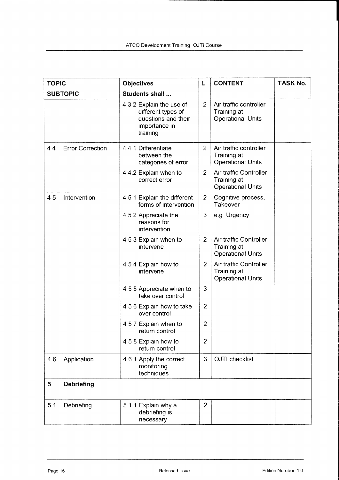| <b>TOPIC</b>   |                         | <b>Objectives</b>                                                                                  | L              | <b>CONTENT</b>                                                    | TASK No. |
|----------------|-------------------------|----------------------------------------------------------------------------------------------------|----------------|-------------------------------------------------------------------|----------|
|                | <b>SUBTOPIC</b>         | Students shall                                                                                     |                |                                                                   |          |
|                |                         | 4 3 2 Explain the use of<br>different types of<br>questions and their<br>importance in<br>training | $\overline{2}$ | Air traffic controller<br>Training at<br><b>Operational Units</b> |          |
| 44             | <b>Error Correction</b> | 4 4 1 Differentiate<br>between the<br>categories of error                                          | $\overline{2}$ | Air traffic controller<br>Training at<br><b>Operational Units</b> |          |
|                |                         | 4 4.2 Explain when to<br>correct error                                                             | $\overline{2}$ | Air traffic Controller<br>Training at<br><b>Operational Units</b> |          |
| 45             | Intervention            | 4 5 1 Explain the different<br>forms of intervention                                               | $\overline{2}$ | Cognitive process,<br>Takeover                                    |          |
|                |                         | 4 5 2 Appreciate the<br>reasons for<br>intervention                                                | 3              | e.g Urgency                                                       |          |
|                |                         | 4 5 3 Explain when to<br><b>intervene</b>                                                          | $\overline{2}$ | Air traffic Controller<br>Training at<br><b>Operational Units</b> |          |
|                |                         | 4 5 4 Explain how to<br>intervene                                                                  | $\overline{2}$ | Air traffic Controller<br>Training at<br><b>Operational Units</b> |          |
|                |                         | 4 5 5 Appreciate when to<br>take over control                                                      | 3              |                                                                   |          |
|                |                         | 4 5 6 Explain how to take<br>over control                                                          | $\overline{2}$ |                                                                   |          |
|                |                         | 4 5 7 Explain when to<br>return control                                                            | $\overline{2}$ |                                                                   |          |
|                |                         | 4 5 8 Explain how to<br>return control                                                             | 2              |                                                                   |          |
| 46             | Application             | 4 6 1 Apply the correct<br>monitoring<br>techniques                                                | 3              | OJTI checklist                                                    |          |
| 5              | Debriefing              |                                                                                                    |                |                                                                   |          |
| 5 <sub>1</sub> | Debriefing              | 511 Explain why a<br>debriefing is<br>necessary                                                    | $\overline{2}$ |                                                                   |          |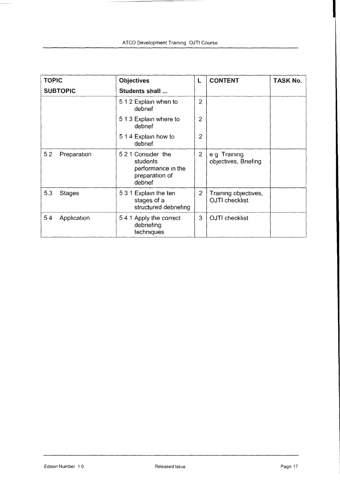| <b>TOPIC</b>         | <b>Objectives</b>                                                                 | L              | <b>CONTENT</b>                                | TASK No. |
|----------------------|-----------------------------------------------------------------------------------|----------------|-----------------------------------------------|----------|
| <b>SUBTOPIC</b>      | Students shall                                                                    |                |                                               |          |
|                      | 512 Explain when to<br>debrief                                                    | $\overline{2}$ |                                               |          |
|                      | 513 Explain where to<br>debrief                                                   | 2              |                                               |          |
|                      | 514 Explain how to<br>debrief                                                     | $\overline{2}$ |                                               |          |
| 52<br>Preparation    | 5.2.1 Consider the<br>students<br>performance in the<br>preparation of<br>debrief | $\overline{2}$ | e g Training<br>objectives, Briefing          |          |
| 5.3<br><b>Stages</b> | 5 3 1 Explain the ten<br>stages of a<br>structured debriefing                     | $\overline{2}$ | Training objectives,<br><b>OJTI</b> checklist |          |
| 54<br>Application    | 541 Apply the correct<br>debriefing<br>techniques                                 | 3              | <b>OJTI</b> checklist                         |          |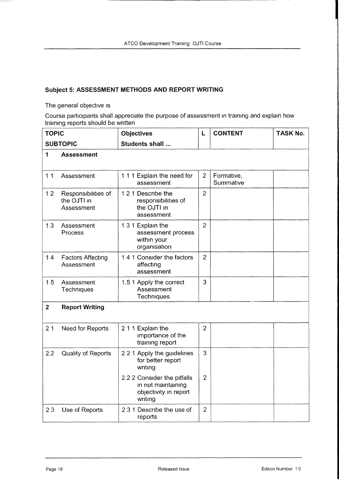#### <span id="page-23-0"></span>**Subject 5: ASSESSMENT METHODS AND REPORT WRITING**

The general objective is

Course participants shall appreciate the purpose of assessment in trammg and explam how trammg reports should be wntten

| <b>TOPIC</b>   |                                                  | <b>Objectives</b>                                                                     | L              | <b>CONTENT</b>          | TASK No. |
|----------------|--------------------------------------------------|---------------------------------------------------------------------------------------|----------------|-------------------------|----------|
|                | <b>SUBTOPIC</b>                                  | Students shall                                                                        |                |                         |          |
| 1              | <b>Assessment</b>                                |                                                                                       |                |                         |          |
| 11             | Assessment                                       | 111 Explain the need for<br>assessment                                                | $\overline{2}$ | Formative,<br>Summative |          |
| 12             | Responsibilities of<br>the OJTI in<br>Assessment | 121 Describe the<br>responsibilities of<br>the OJTI in<br>assessment                  | $\overline{2}$ |                         |          |
| 13             | Assessment<br>Process                            | 131 Explain the<br>assessment process<br>within your<br>organisation                  | $\overline{2}$ |                         |          |
| 14             | <b>Factors Affecting</b><br>Assessment           | 141 Consider the factors<br>affecting<br>assessment                                   | $\overline{2}$ |                         |          |
| 15             | Assessment<br>Techniques                         | 1.5 1 Apply the correct<br>Assessment<br>Techniques                                   | 3              |                         |          |
| $\mathbf{2}$   | <b>Report Writing</b>                            |                                                                                       |                |                         |          |
| 2 <sub>1</sub> | Need for Reports                                 | 211 Explain the<br>importance of the<br>training report                               | $\overline{2}$ |                         |          |
| 2.2            | <b>Quality of Reports</b>                        | 2 2 1 Apply the guidelines<br>for better report<br>writing                            | 3              |                         |          |
|                |                                                  | 2.2 2 Consider the pitfalls<br>in not maintaining<br>objectivity in report<br>writing | $\overline{2}$ |                         |          |
| 23             | Use of Reports                                   | 2 3 1 Describe the use of<br>reports                                                  | $\overline{2}$ |                         |          |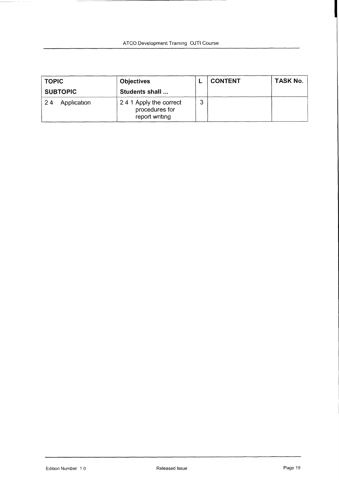| <b>TOPIC</b>      | <b>Objectives</b>                                         |   | <b>CONTENT</b> | TASK No. |
|-------------------|-----------------------------------------------------------|---|----------------|----------|
| <b>SUBTOPIC</b>   | Students shall                                            |   |                |          |
| 24<br>Application | 241 Apply the correct<br>procedures for<br>report writing | ົ |                |          |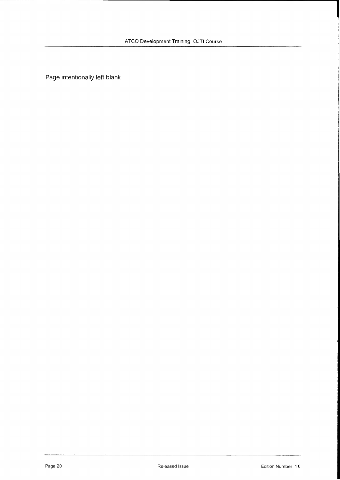Page intentionally left blank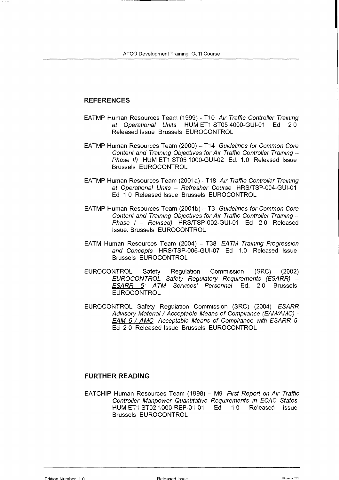#### **REFERENCES**

- EATMP Human Resources Team (1999) T10 *Air Traffic Controller Traming at Operational Umts* HUM ET1 ST05 4000-GUI-01 Ed 2 0 Released Issue Brussels EUROCONTROL
- EATMP Human Resources Team (2000) T14 *Guidehnes for Common Core Content and Traming Objectives for Air Traffic Controller Traming - Phase II)* HUM ET1 ST05 1000-GUI-02 Ed. 1.0 Released Issue Brussels EUROCONTROL
- EATMP Human Resources Team (2001a) T18 *Air Traffic Controller Traming at Operational Umts - Refresher Course* HRS/TSP-004-GUI-01 Ed <sup>1</sup> 0 Released Issue Brussels EUROCONTROL
- EATMP Human Resources Team (2001b) T3 *Guidehnes for Common Core Content and Traming Objectives for Air Traffic Controller Traming* - *Phase <sup>I</sup> - Revised)* HRS/TSP-002-GUI-01 Ed <sup>2</sup> <sup>0</sup> Released Issue. Brussels EUROCONTROL
- EATM Human Resources Team (2004) T38 *EATM Traming Progression and Concepts* HRS/TSP-006-GUI-07 Ed 1.0 Released Issue Brussels EUROCONTROL
- EUROCONTROL Safety Régulation Commission (SRC) (2002) *EUROCONTROL Safety Regulatory Requirements (ESARR) - ESARR 5' ATM Services' Personnel* Ed. 2 0 Brussels **EUROCONTROL**
- EUROCONTROL Safety Régulation Commission (SRC) (2004) *ESARR Advisory Matenal* /*Acceptable Means of Compliance (EAM/AMC) - EAM <sup>5</sup>* / *AMC Acceptable Means of Compliance with ESARR <sup>5</sup>* Ed 2 0 Released Issue Brussels EUROCONTROL

#### **FURTHER READING**

EATCHIP Human Resources Team (1998) - M9 *First Report on Air Traffic Controller Manpower Quantitative Requirements in ECAC States* HUM ET1 ST02.1000-REP-01-01 Ed 10 Brussels EUROCONTROL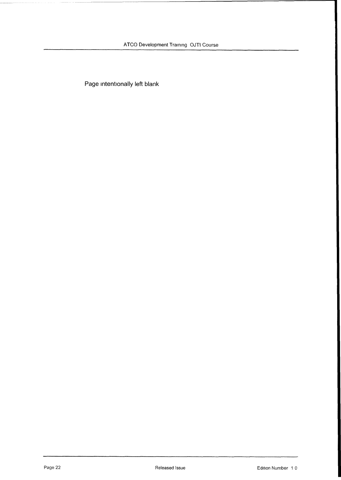ATCO Development Trainmg OJTI Course

Page mtentionally left blank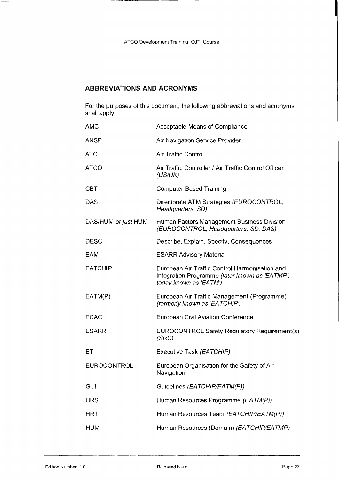#### **ABBREVIATIONS AND ACRONYMS**

For the purposes of this document, the followmg abbreviations and acronyms shall apply

| AMC                 | Acceptable Means of Compliance                                                                                             |
|---------------------|----------------------------------------------------------------------------------------------------------------------------|
| ANSP                | Air Navigation Service Provider                                                                                            |
| ATC                 | <b>Air Traffic Control</b>                                                                                                 |
| ATCO                | Air Traffic Controller / Air Traffic Control Officer<br>(US/UK)                                                            |
| CBT                 | Computer-Based Training                                                                                                    |
| DAS                 | Directorate ATM Strategies (EUROCONTROL,<br>Headquarters, SD)                                                              |
| DAS/HUM or just HUM | Human Factors Management Business Division<br>(EUROCONTROL, Headquarters, SD, DAS)                                         |
| <b>DESC</b>         | Describe, Explain, Specify, Consequences                                                                                   |
| <b>EAM</b>          | <b>ESARR Advisory Material</b>                                                                                             |
| <b>EATCHIP</b>      | European Air Traffic Control Harmonisation and<br>Integration Programme (later known as 'EATMP',<br>today known as 'EATM') |
| EATM(P)             | European Air Traffic Management (Programme)<br>(formerly known as 'EATCHIP')                                               |
| <b>ECAC</b>         | <b>European Civil Aviation Conference</b>                                                                                  |
| <b>ESARR</b>        | EUROCONTROL Safety Regulatory Requirement(s)<br>(SRC)                                                                      |
| EТ                  | Executive Task (EATCHIP)                                                                                                   |
| EUROCONTROL         | European Organisation for the Safety of Air<br>Navigation                                                                  |
| <b>GUI</b>          | Guidelines (EATCHIP/EATM(P))                                                                                               |
| <b>HRS</b>          | Human Resources Programme (EATM(P))                                                                                        |
| HRT                 | Human Resources Team (EATCHIP/EATM(P))                                                                                     |
| <b>HUM</b>          | Human Resources (Domain) (EATCHIP/EATMP)                                                                                   |
|                     |                                                                                                                            |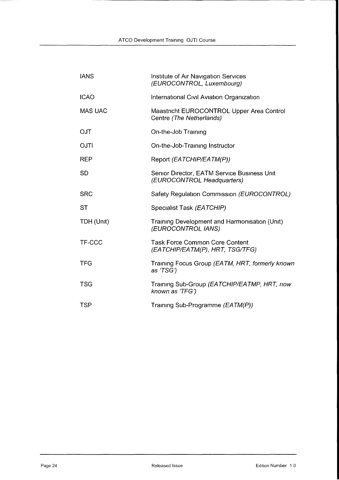| <b>IANS</b>    | Institute of Air Navigation Services<br>(EUROCONTROL, Luxembourg)         |
|----------------|---------------------------------------------------------------------------|
| <b>ICAO</b>    | International Civil Aviation Organization                                 |
| <b>MAS UAC</b> | Maastricht EUROCONTROL Upper Area Control<br>Centre (The Netherlands)     |
| OJT            | On-the-Job Training                                                       |
| OJTI           | On-the-Job-Training Instructor                                            |
| <b>REP</b>     | Report (EATCHIP/EATM(P))                                                  |
| <b>SD</b>      | Senior Director, EATM Service Business Unit<br>(EUROCONTROL Headquarters) |
| <b>SRC</b>     | Safety Regulation Commission (EUROCONTROL)                                |
| ST             | Specialist Task (EATCHIP)                                                 |
| TDH (Unit)     | Training Development and Harmonisation (Unit)<br>(EUROCONTROL IANS)       |
| TF-CCC         | <b>Task Force Common Core Content</b><br>(EATCHIP/EATM(P), HRT, TSG/TFG)  |
| <b>TFG</b>     | Training Focus Group (EATM, HRT, formerly known<br>as 'TSG')              |
| <b>TSG</b>     | Training Sub-Group (EATCHIP/EATMP, HRT, now<br>known as 'TFG')            |
| <b>TSP</b>     | Training Sub-Programme (EATM(P))                                          |